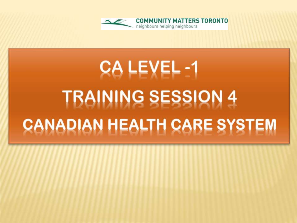

# **CA LEVEL -1 TRAINING SESSION 4 CANADIAN HEALTH CARE SYSTEM**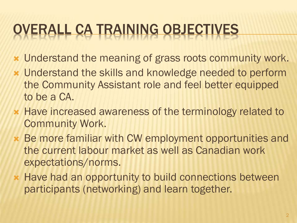### OVERALL CA TRAINING OBJECTIVES

- Understand the meaning of grass roots community work.
- Understand the skills and knowledge needed to perform the Community Assistant role and feel better equipped to be a CA.
- **\* Have increased awareness of the terminology related to** Community Work.
- Be more familiar with CW employment opportunities and the current labour market as well as Canadian work expectations/norms.
- **\* Have had an opportunity to build connections between** participants (networking) and learn together.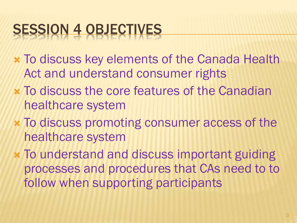### SESSION 4 OBJECTIVES

- To discuss key elements of the Canada Health Act and understand consumer rights
- To discuss the core features of the Canadian healthcare system
- To discuss promoting consumer access of the healthcare system
- To understand and discuss important guiding processes and procedures that CAs need to to follow when supporting participants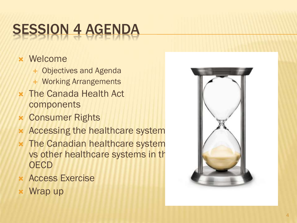## SESSION 4 AGENDA

### Welcome

- Objectives and Agenda
- Working Arrangements
- The Canada Health Act components
- Consumer Rights
- Accessing the healthcare system
- The Canadian healthcare system vs other healthcare systems in the **OECD**
- Access Exercise
- Wrap up

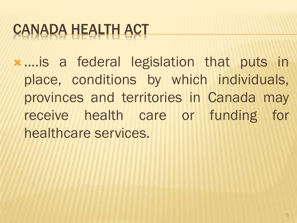### CANADA HEALTH ACT

 ....is a federal legislation that puts in place, conditions by which individuals, provinces and territories in Canada may receive health care or funding for healthcare services.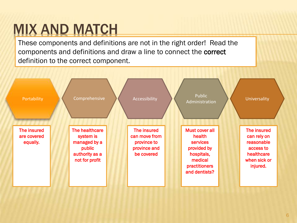### MIX AND MATCH

These components and definitions are not in the right order! Read the components and definitions and draw a line to connect the correct definition to the correct component.

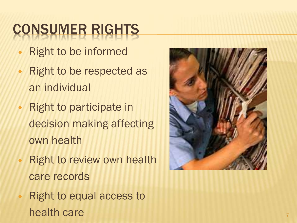## CONSUMER RIGHTS

- Right to be informed
- Right to be respected as an individual
- Right to participate in decision making affecting own health
- Right to review own health care records
- Right to equal access to health care 7

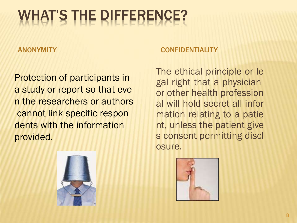### WHAT'S THE DIFFERENCE?

Protection of participants in a study or report so that eve n the researchers or authors cannot link specific respon dents with the information provided.



### ANONYMITY CONFIDENTIALITY

The ethical principle or le gal right that a physician or other health profession al will hold secret all infor mation relating to a patie nt, unless the patient give s consent permitting discl osure.

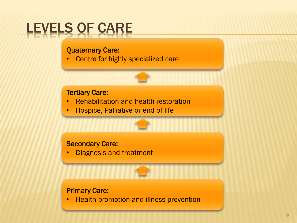### LEVELS OF CARE

#### Quaternary Care:

• Centre for highly specialized care

#### Tertiary Care:

- Rehabilitation and health restoration
- Hospice, Palliative or end of life

#### Secondary Care:

• Diagnosis and treatment

#### Primary Care:

• Health promotion and illness prevention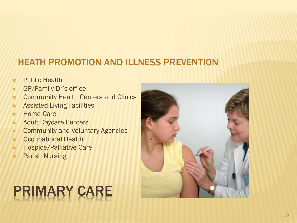### HEATH PROMOTION AND ILLNESS PREVENTION

- Public Health
- GP/Family Dr's office
- **\*** Community Health Centers and Clinics
- Assisted Living Facilities
- Home Care
- Adult Daycare Centers
- Community and Voluntary Agencies
- Occupational Health
- Hospice/Palliative Care
- Parish Nursing

## PRIMARY CARE

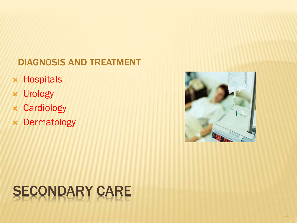### DIAGNOSIS AND TREATMENT

- Hospitals
- Urology
- Cardiology
- Dermatology



## SECONDARY CARE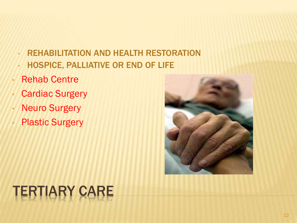- REHABILITATION AND HEALTH RESTORATION • HOSPICE, PALLIATIVE OR END OF LIFE
- Rehab Centre
- **Cardiac Surgery**
- Neuro Surgery
- **Plastic Surgery**



## TERTIARY CARE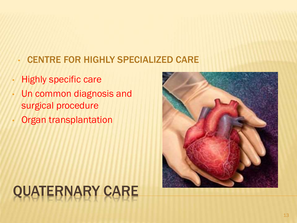### • CENTRE FOR HIGHLY SPECIALIZED CARE

- Highly specific care
- Un common diagnosis and surgical procedure
- Organ transplantation

## QUATERNARY CARE

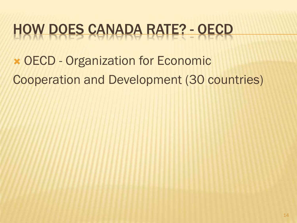### HOW DOES CANADA RATE? - OECD

 OECD - Organization for Economic Cooperation and Development (30 countries)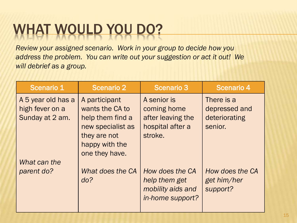### WHAT WOULD YOU DO?

*Review your assigned scenario. Work in your group to decide how you address the problem. You can write out your suggestion or act it out! We will debrief as a group.*

| <b>Scenario 1</b>                                        | <b>Scenario 2</b>                                                                                                             | <b>Scenario 3</b>                                                              | <b>Scenario 4</b>                                       |
|----------------------------------------------------------|-------------------------------------------------------------------------------------------------------------------------------|--------------------------------------------------------------------------------|---------------------------------------------------------|
| A 5 year old has a<br>high fever on a<br>Sunday at 2 am. | A participant<br>wants the CA to<br>help them find a<br>new specialist as<br>they are not<br>happy with the<br>one they have. | A senior is<br>coming home<br>after leaving the<br>hospital after a<br>stroke. | There is a<br>depressed and<br>deteriorating<br>senior. |
| What can the<br>parent do?                               | What does the CA<br>do?                                                                                                       | How does the CA<br>help them get<br>mobility aids and<br>in-home support?      | How does the CA<br>get him/her<br>support?              |